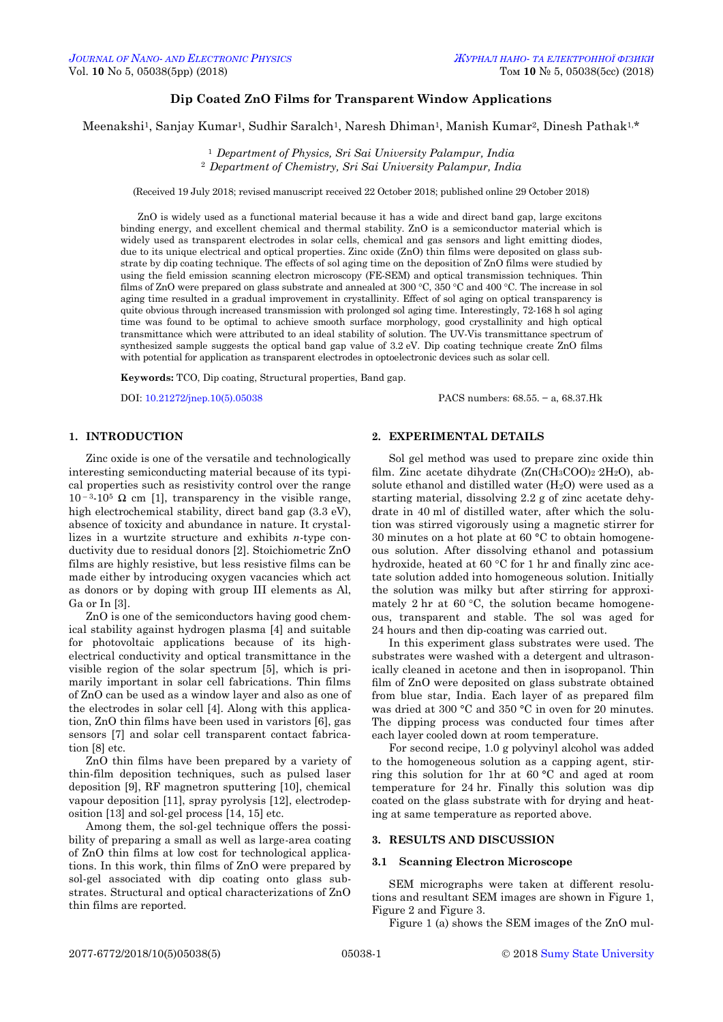# **Dip Coated ZnO Films for Transparent Window Applications**

Meenakshi1, Sanjay Kumar1, Sudhir Saralch1, Naresh Dhiman1, Manish Kumar2, Dinesh Pathak1,\*

<sup>1</sup> *Department of Physics, Sri Sai University Palampur, India* <sup>2</sup> *Department of Chemistry, Sri Sai University Palampur, India*

(Received 19 July 2018; revised manuscript received 22 October 2018; published online 29 October 2018)

ZnO is widely used as a functional material because it has a wide and direct band gap, large excitons binding energy, and excellent chemical and thermal stability. ZnO is a semiconductor material which is widely used as transparent electrodes in solar cells, chemical and gas sensors and light emitting diodes, due to its unique electrical and optical properties. Zinc oxide (ZnO) thin films were deposited on glass substrate by dip coating technique. The effects of sol aging time on the deposition of ZnO films were studied by using the field emission scanning electron microscopy (FE-SEM) and optical transmission techniques. Thin films of ZnO were prepared on glass substrate and annealed at  $300\degree C$ ,  $350\degree C$  and  $400\degree C$ . The increase in sol aging time resulted in a gradual improvement in crystallinity. Effect of sol aging on optical transparency is quite obvious through increased transmission with prolonged sol aging time. Interestingly, 72-168 h sol aging time was found to be optimal to achieve smooth surface morphology, good crystallinity and high optical transmittance which were attributed to an ideal stability of solution. The UV-Vis transmittance spectrum of synthesized sample suggests the optical band gap value of 3.2 eV. Dip coating technique create ZnO films with potential for application as transparent electrodes in optoelectronic devices such as solar cell.

**Keywords:** TCO, Dip coating, Structural properties, Band gap.

DOI[: 10.21272/jnep.10\(5\).05038](https://doi.org/10.21272/jnep.10(5).05038) PACS numbers: 68.55. − a, 68.37.Hk

# **1. INTRODUCTION**

Zinc oxide is one of the versatile and technologically interesting semiconducting material because of its typical properties such as resistivity control over the range 10<sup>-3</sup>-10<sup>5</sup> Ω cm [1], transparency in the visible range, high electrochemical stability, direct band gap (3.3 eV), absence of toxicity and abundance in nature. It crystallizes in a wurtzite structure and exhibits *n*-type conductivity due to residual donors [2]. Stoichiometric ZnO films are highly resistive, but less resistive films can be made either by introducing oxygen vacancies which act as donors or by doping with group III elements as Al, Ga or In [3].

ZnO is one of the semiconductors having good chemical stability against hydrogen plasma [4] and suitable for photovoltaic applications because of its highelectrical conductivity and optical transmittance in the visible region of the solar spectrum [5], which is primarily important in solar cell fabrications. Thin films of ZnO can be used as a window layer and also as one of the electrodes in solar cell [4]. Along with this application, ZnO thin films have been used in varistors [6], gas sensors [7] and solar cell transparent contact fabrication [8] etc.

ZnO thin films have been prepared by a variety of thin-film deposition techniques, such as pulsed laser deposition [9], RF magnetron sputtering [10], chemical vapour deposition [11], spray pyrolysis [12], electrodeposition [13] and sol-gel process [14, 15] etc.

<span id="page-0-3"></span><span id="page-0-2"></span><span id="page-0-1"></span><span id="page-0-0"></span>Among them, the sol-gel technique offers the possibility of preparing a small as well as large-area coating of ZnO thin films at low cost for technological applications. In this work, thin films of ZnO were prepared by sol-gel associated with dip coating onto glass substrates. Structural and optical characterizations of ZnO thin films are reported.

# **2. EXPERIMENTAL DETAILS**

Sol gel method was used to prepare zinc oxide thin film. Zinc acetate dihydrate  $(Zn(CH_3COO)_2.2H_2O)$ , absolute ethanol and distilled water  $(H<sub>2</sub>O)$  were used as a starting material, dissolving 2.2 g of zinc acetate dehydrate in 40 ml of distilled water, after which the solution was stirred vigorously using a magnetic stirrer for 30 minutes on a hot plate at 60 °C to obtain homogeneous solution. After dissolving ethanol and potassium hydroxide, heated at 60 °C for 1 hr and finally zinc acetate solution added into homogeneous solution. Initially the solution was milky but after stirring for approximately 2 hr at  $60^{\circ}$ C, the solution became homogeneous, transparent and stable. The sol was aged for 24 hours and then dip-coating was carried out.

In this experiment glass substrates were used. The substrates were washed with a detergent and ultrasonically cleaned in acetone and then in isopropanol. Thin film of ZnO were deposited on glass substrate obtained from blue star, India. Each layer of as prepared film was dried at 300 °C and 350 °C in oven for 20 minutes. The dipping process was conducted four times after each layer cooled down at room temperature.

For second recipe, 1.0 g polyvinyl alcohol was added to the homogeneous solution as a capping agent, stirring this solution for 1hr at 60 °C and aged at room temperature for 24 hr. Finally this solution was dip coated on the glass substrate with for drying and heating at same temperature as reported above.

### **3. RESULTS AND DISCUSSION**

#### **3.1 Scanning Electron Microscope**

SEM micrographs were taken at different resolutions and resultant SEM images are shown in Figure 1, Figure 2 and Figure 3.

Figure 1 (a) shows the SEM images of the ZnO mul-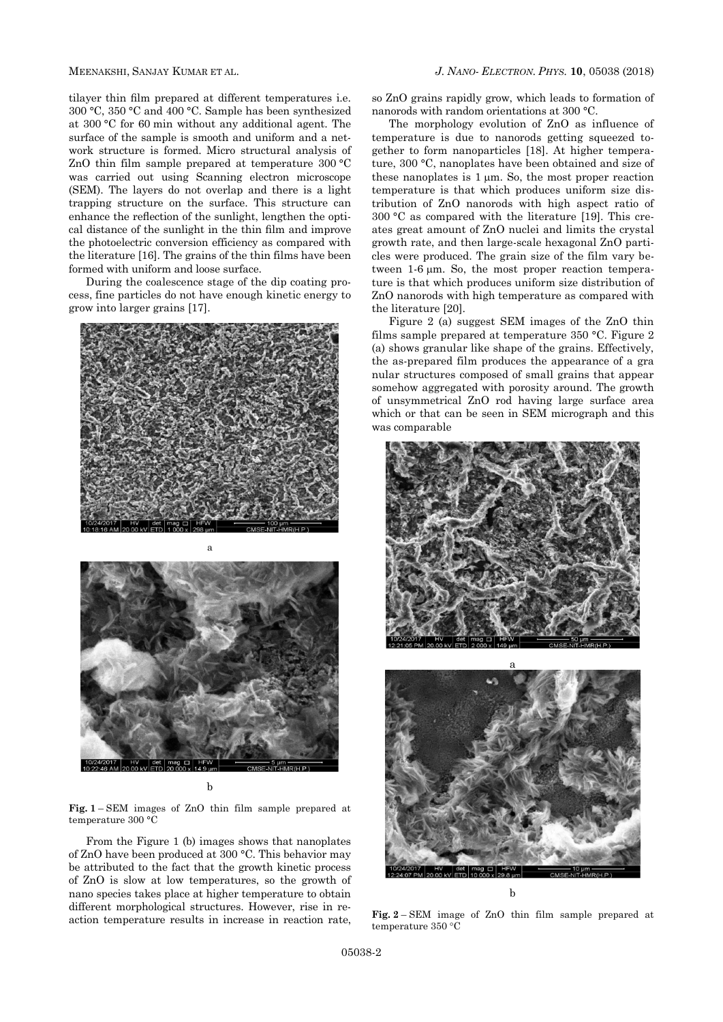tilayer thin film prepared at different temperatures i.e. 300 °C, 350 °C and 400 °C. Sample has been synthesized at 300 °C for 60 min without any additional agent. The surface of the sample is smooth and uniform and a network structure is formed. Micro structural analysis of ZnO thin film sample prepared at temperature 300 °C was carried out using Scanning electron microscope (SEM). The layers do not overlap and there is a light trapping structure on the surface. This structure can enhance the reflection of the sunlight, lengthen the optical distance of the sunlight in the thin film and improve the photoelectric conversion efficiency as compared with the literature [16]. The grains of the thin films have been formed with uniform and loose surface.

During the coalescence stage of the dip coating process, fine particles do not have enough kinetic energy to grow into larger grains [17].



a



b

**Fig. 1** – SEM images of ZnO thin film sample prepared at temperature 300 °C

From the Figure 1 (b) images shows that nanoplates of ZnO have been produced at 300 °C. This behavior may be attributed to the fact that the growth kinetic process of ZnO is slow at low temperatures, so the growth of nano species takes place at higher temperature to obtain different morphological structures. However, rise in reaction temperature results in increase in reaction rate,

so ZnO grains rapidly grow, which leads to formation of nanorods with random orientations at 300 °C.

The morphology evolution of ZnO as influence of temperature is due to nanorods getting squeezed together to form nanoparticles [18]. At higher temperature, 300 °C, nanoplates have been obtained and size of these nanoplates is  $1 \mu m$ . So, the most proper reaction temperature is that which produces uniform size distribution of ZnO nanorods with high aspect ratio of 300 °C as compared with the literature [19]. This creates great amount of ZnO nuclei and limits the crystal growth rate, and then large-scale hexagonal ZnO particles were produced. The grain size of the film vary between  $1-6 \mu m$ . So, the most proper reaction temperature is that which produces uniform size distribution of ZnO nanorods with high temperature as compared with the literature [20].

Figure 2 (a) suggest SEM images of the ZnO thin films sample prepared at temperature 350 °C. Figure 2 (a) shows granular like shape of the grains. Effectively, the as-prepared film produces the appearance of a gra nular structures composed of small grains that appear somehow aggregated with porosity around. The growth of unsymmetrical ZnO rod having large surface area which or that can be seen in SEM micrograph and this was comparable





**Fig. 2** – SEM image of ZnO thin film sample prepared at temperature 350 °C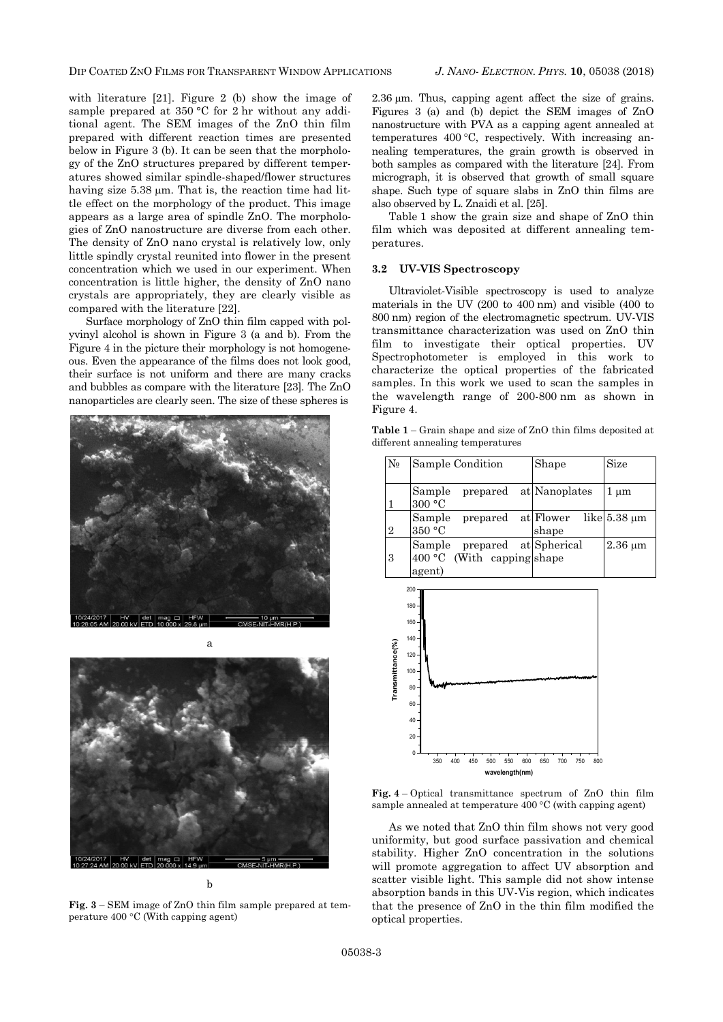with literature [21]. Figure 2 (b) show the image of sample prepared at 350 °C for 2 hr without any additional agent. The SEM images of the ZnO thin film prepared with different reaction times are presented below in Figure 3 (b). It can be seen that the morphology of the ZnO structures prepared by different temperatures showed similar spindle-shaped/flower structures having size  $5.38 \mu m$ . That is, the reaction time had little effect on the morphology of the product. This image appears as a large area of spindle ZnO. The morphologies of ZnO nanostructure are diverse from each other. The density of ZnO nano crystal is relatively low, only little spindly crystal reunited into flower in the present concentration which we used in our experiment. When concentration is little higher, the density of ZnO nano crystals are appropriately, they are clearly visible as compared with the literature [22].

Surface morphology of ZnO thin film capped with polyvinyl alcohol is shown in Figure 3 (a and b). From the Figure 4 in the picture their morphology is not homogeneous. Even the appearance of the films does not look good, their surface is not uniform and there are many cracks and bubbles as compare with the literature [23]. The ZnO nanoparticles are clearly seen. The size of these spheres is





b

**Fig. 3** – SEM image of ZnO thin film sample prepared at temperature  $400^{\circ}$ C (With capping agent)

 $2.36 \mu m$ . Thus, capping agent affect the size of grains. Figures 3 (a) and (b) depict the SEM images of ZnO nanostructure with PVA as a capping agent annealed at temperatures  $400 \degree C$ , respectively. With increasing annealing temperatures, the grain growth is observed in both samples as compared with the literature [24]. From micrograph, it is observed that growth of small square shape. Such type of square slabs in ZnO thin films are also observed by L. Znaidi et al. [25].

Table 1 show the grain size and shape of ZnO thin film which was deposited at different annealing temperatures.

#### **3.2 UV-VIS Spectroscopy**

Ultraviolet-Visible spectroscopy is used to analyze materials in the UV (200 to 400 nm) and visible (400 to 800 nm) region of the electromagnetic spectrum. UV-VIS transmittance characterization was used on ZnO thin film to investigate their optical properties. UV Spectrophotometer is employed in this work to characterize the optical properties of the fabricated samples. In this work we used to scan the samples in the wavelength range of 200-800 nm as shown in Figure 4.

**Table 1** – Grain shape and size of ZnO thin films deposited at different annealing temperatures

| $N_{\! \! \varrho}$ | Sample Condition                                                          | Shape              | Size              |
|---------------------|---------------------------------------------------------------------------|--------------------|-------------------|
|                     | prepared at Nanoplates<br>Sample<br>300 °C                                |                    | $1 \mu m$         |
| $\overline{2}$      | Sample<br>prepared<br>350 °C                                              | at Flower<br>shape | like $5.38 \mu m$ |
| 3                   | Sample<br>prepared at Spherical<br>$400 °C$ (With capping shape<br>agent) |                    | $2.36 \mu m$      |





As we noted that ZnO thin film shows not very good uniformity, but good surface passivation and chemical stability. Higher ZnO concentration in the solutions will promote aggregation to affect UV absorption and scatter visible light. This sample did not show intense absorption bands in this UV-Vis region, which indicates that the presence of ZnO in the thin film modified the optical properties.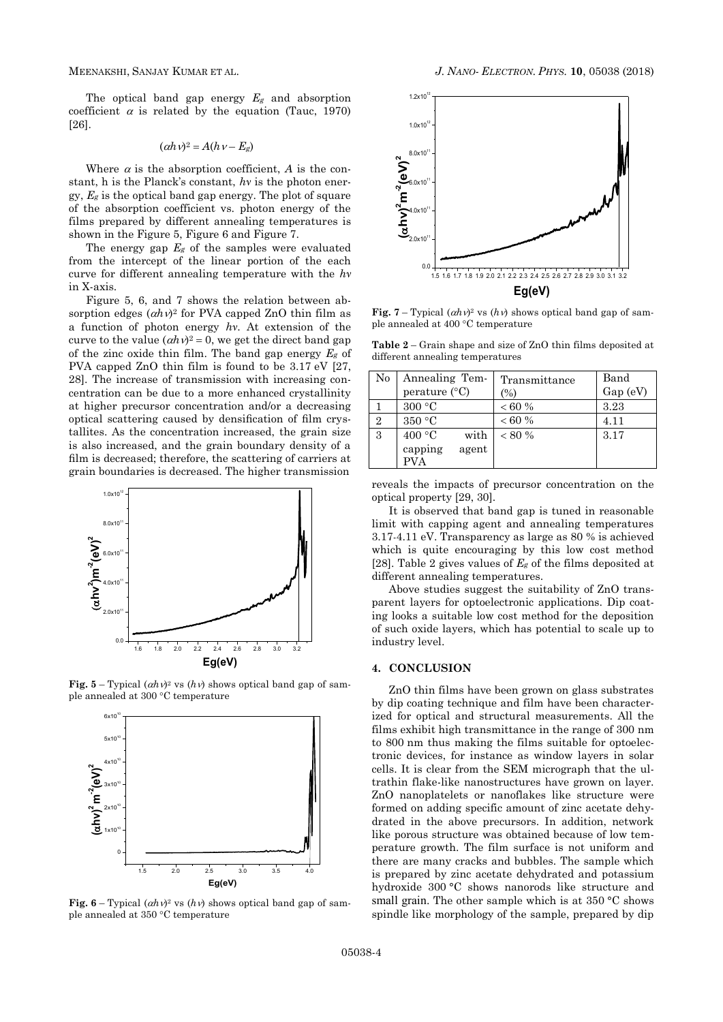The optical band gap energy *E<sup>g</sup>* and absorption coefficient  $\alpha$  is related by the equation (Tauc, 1970) [26].

$$
(\alpha h \nu)^2 = A(h \nu - E_g)
$$

Where  $\alpha$  is the absorption coefficient,  $\alpha$  is the constant, h is the Planck's constant, *hν* is the photon energy, *E<sup>g</sup>* is the optical band gap energy. The plot of square of the absorption coefficient vs. photon energy of the films prepared by different annealing temperatures is shown in the Figure 5, Figure 6 and Figure 7.

The energy gap  $E_g$  of the samples were evaluated from the intercept of the linear portion of the each curve for different annealing temperature with the *hν* in X-axis.

Figure 5, 6, and 7 shows the relation between absorption edges  $(ahv)^2$  for PVA capped ZnO thin film as a function of photon energy *hν*. At extension of the curve to the value  $(\alpha h v)^2 = 0$ , we get the direct band gap of the zinc oxide thin film. The band gap energy *E<sup>g</sup>* of PVA capped ZnO thin film is found to be 3.17 eV [27, 28]. The increase of transmission with increasing concentration can be due to a more enhanced crystallinity at higher precursor concentration and/or a decreasing optical scattering caused by densification of film crystallites. As the concentration increased, the grain size is also increased, and the grain boundary density of a film is decreased; therefore, the scattering of carriers at grain boundaries is decreased. The higher transmission



**Fig.**  $5 - \text{Typical } (ahv)^2$  vs  $(hv)$  shows optical band gap of sample annealed at 300 °C temperature



**Fig.**  $6 - \text{Typical } (ahv)^2$  vs  $(hv)$  shows optical band gap of sample annealed at 350 °C temperature



**Fig.** 7 – Typical  $(ahv)^2$  vs  $(hv)$  shows optical band gap of sample annealed at 400 °C temperature

**Table 2** – Grain shape and size of ZnO thin films deposited at different annealing temperatures

| No             | Annealing Tem-<br>perature (°C)                  | Transmittance<br>(%) | Band<br>Gap (eV) |
|----------------|--------------------------------------------------|----------------------|------------------|
|                | 300 °C                                           | < 60 %               | 3.23             |
| $\overline{2}$ | $350\,^{\circ}\mathrm{C}$                        | < 60 %               | 4.11             |
| 3              | 400 °C<br>with<br>capping<br>agent<br><b>PVA</b> | $< 80\%$             | 3.17             |

reveals the impacts of precursor concentration on the optical property [29, 30].

It is observed that band gap is tuned in reasonable limit with capping agent and annealing temperatures 3.17-4.11 eV. Transparency as large as 80 % is achieved which is quite encouraging by this low cost method [28]. Table 2 gives values of *E<sup>g</sup>* of the films deposited at different annealing temperatures.

Above studies suggest the suitability of ZnO transparent layers for optoelectronic applications. Dip coating looks a suitable low cost method for the deposition of such oxide layers, which has potential to scale up to industry level.

# **4. CONCLUSION**

ZnO thin films have been grown on glass substrates by dip coating technique and film have been characterized for optical and structural measurements. All the films exhibit high transmittance in the range of 300 nm to 800 nm thus making the films suitable for optoelectronic devices, for instance as window layers in solar cells. It is clear from the SEM micrograph that the ultrathin flake-like nanostructures have grown on layer. ZnO nanoplatelets or nanoflakes like structure were formed on adding specific amount of zinc acetate dehydrated in the above precursors. In addition, network like porous structure was obtained because of low temperature growth. The film surface is not uniform and there are many cracks and bubbles. The sample which is prepared by zinc acetate dehydrated and potassium hydroxide 300 °C shows nanorods like structure and small grain. The other sample which is at  $350 \degree C$  shows spindle like morphology of the sample, prepared by dip